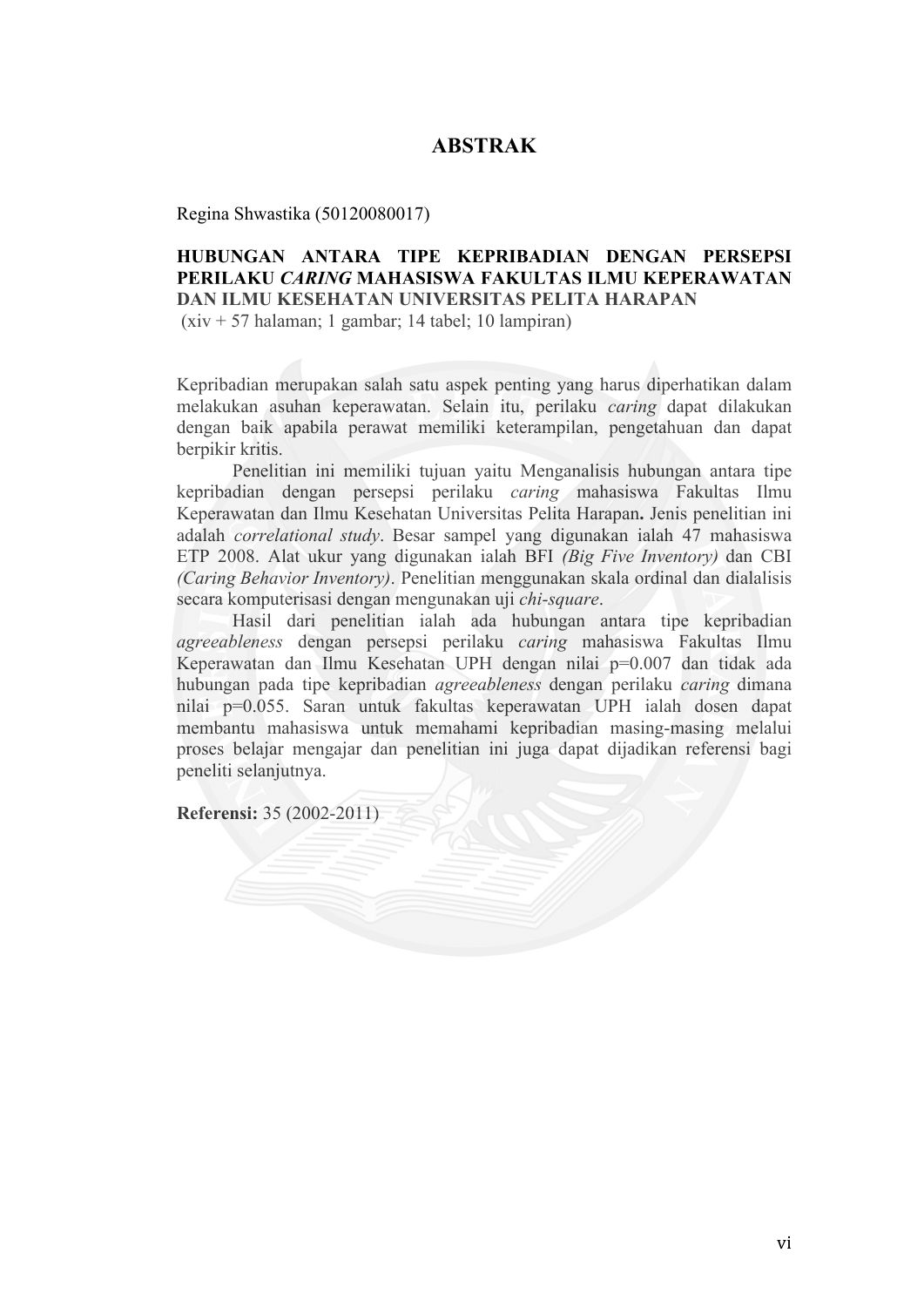## **ABSTRAK**

Regina Shwastika (50120080017)

## **HUBUNGAN ANTARA TIPE KEPRIBADIAN DENGAN PERSEPSI PERILAKU** *CARING* **MAHASISWA FAKULTAS ILMU KEPERAWATAN DAN ILMU KESEHATAN UNIVERSITAS PELITA HARAPAN**

(xiv + 57 halaman; 1 gambar; 14 tabel; 10 lampiran)

Kepribadian merupakan salah satu aspek penting yang harus diperhatikan dalam melakukan asuhan keperawatan. Selain itu, perilaku *caring* dapat dilakukan dengan baik apabila perawat memiliki keterampilan, pengetahuan dan dapat berpikir kritis.

Penelitian ini memiliki tujuan yaitu Menganalisis hubungan antara tipe kepribadian dengan persepsi perilaku *caring* mahasiswa Fakultas Ilmu Keperawatan dan Ilmu Kesehatan Universitas Pelita Harapan**.** Jenis penelitian ini adalah *correlational study*. Besar sampel yang digunakan ialah 47 mahasiswa ETP 2008. Alat ukur yang digunakan ialah BFI *(Big Five Inventory)* dan CBI *(Caring Behavior Inventory)*. Penelitian menggunakan skala ordinal dan dialalisis secara komputerisasi dengan mengunakan uji *chi-square*.

Hasil dari penelitian ialah ada hubungan antara tipe kepribadian *agreeableness* dengan persepsi perilaku *caring* mahasiswa Fakultas Ilmu Keperawatan dan Ilmu Kesehatan UPH dengan nilai p=0.007 dan tidak ada hubungan pada tipe kepribadian *agreeableness* dengan perilaku *caring* dimana nilai p=0.055. Saran untuk fakultas keperawatan UPH ialah dosen dapat membantu mahasiswa untuk memahami kepribadian masing-masing melalui proses belajar mengajar dan penelitian ini juga dapat dijadikan referensi bagi peneliti selanjutnya.

**Referensi:** 35 (2002-2011)